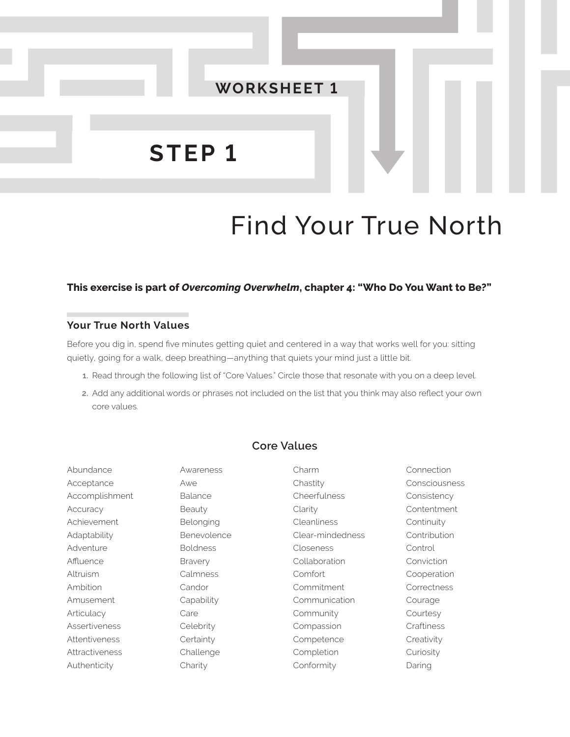

# Find Your True North

## **This exercise is part of** *Overcoming Overwhelm***, chapter 4: "Who Do You Want to Be?"**

### **Your True North Values**

Before you dig in, spend five minutes getting quiet and centered in a way that works well for you: sitting quietly, going for a walk, deep breathing—anything that quiets your mind just a little bit.

- **1.** Read through the following list of "Core Values." Circle those that resonate with you on a deep level.
- **2.** Add any additional words or phrases not included on the list that you think may also reflect your own core values.

## **Core Values**

| Abundance             | Awareness       | Charm              | Connection    |
|-----------------------|-----------------|--------------------|---------------|
| Acceptance            | Awe             | Chastity           | Consciousness |
| Accomplishment        | Balance         | Cheerfulness       | Consistency   |
| Accuracy              | Beauty          | Clarity            | Contentment   |
| Achievement           | Belonging       | <b>Cleanliness</b> | Continuity    |
| Adaptability          | Benevolence     | Clear-mindedness   | Contribution  |
| Adventure             | <b>Boldness</b> | Closeness          | Control       |
| Affluence             | <b>Bravery</b>  | Collaboration      | Conviction    |
| Altruism              | Calmness        | Comfort            | Cooperation   |
| Ambition              | Candor          | Commitment         | Correctness   |
| Amusement             | Capability      | Communication      | Courage       |
| Articulacy            | Care            | Community          | Courtesy      |
| Assertiveness         | Celebrity       | Compassion         | Craftiness    |
| Attentiveness         | Certainty       | Competence         | Creativity    |
| <b>Attractiveness</b> | Challenge       | Completion         | Curiosity     |
| Authenticity          | Charity         | Conformity         | Daring        |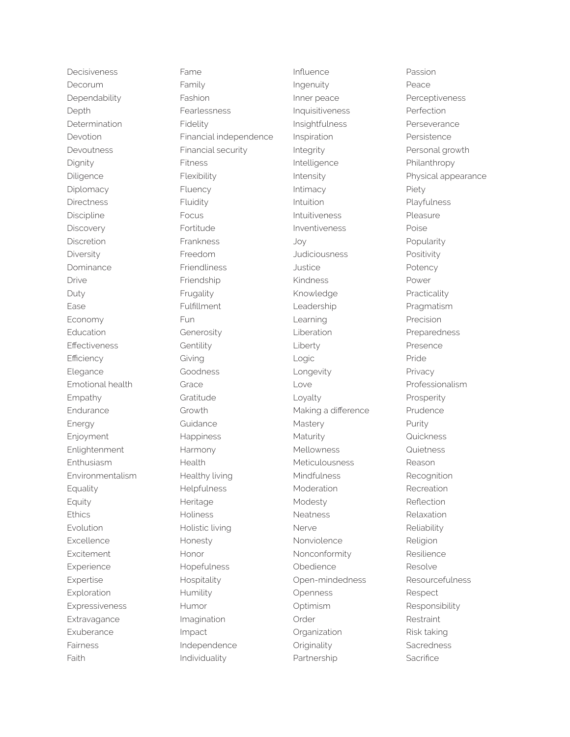Decisiveness Decorum Dependability Depth **Determination** Devotion Devoutness Dignity Diligence Diplomacy Directness Discipline **Discovery** Discretion **Diversity** Dominance Drive Duty Ease Economy **Education** Effectiveness **Efficiency** Elegance Emotional health Empathy Endurance Energy Enjoyment **Enlightenment** Enthusiasm Environmentalism Equality Equity **Ethics** Evolution Excellence **Excitement** Experience Expertise Exploration Expressiveness **Extravagance** Exuberance Fairness Faith

Fame Family Fashion **Fearlessness** Fidelity Financial independence Financial security Fitness Flexibility Fluency Fluidity Focus Fortitude Frankness Freedom Friendliness Friendship Frugality Fulfillment Fun Generosity Gentility Giving Goodness Grace Gratitude Growth Guidance Happiness Harmony **Health** Healthy living Helpfulness Heritage **Holiness** Holistic living Honesty Honor Hopefulness Hospitality Humility Humor Imagination Impact Independence Individuality

Influence Ingenuity Inner peace Inquisitiveness Insightfulness Inspiration Integrity Intelligence Intensity Intimacy Intuition Intuitiveness Inventiveness Joy **Judiciousness** Justice Kindness Knowledge Leadership Learning Liberation Liberty Logic Longevity Love Loyalty Making a difference Mastery Maturity Mellowness Meticulousness Mindfulness Moderation Modesty Neatness Nerve Nonviolence Nonconformity Obedience Open-mindedness Openness **Optimism** Order **Organization Originality** Partnership

Passion Peace Perceptiveness Perfection **Perseverance** Persistence Personal growth Philanthropy Physical appearance Piety Playfulness Pleasure Poise Popularity Positivity **Potency** Power Practicality Pragmatism Precision Preparedness Presence Pride Privacy Professionalism Prosperity Prudence Purity **Quickness Quietness** Reason Recognition Recreation Reflection Relaxation Reliability Religion Resilience Resolve Resourcefulness Respect Responsibility **Restraint** Risk taking **Sacredness Sacrifice**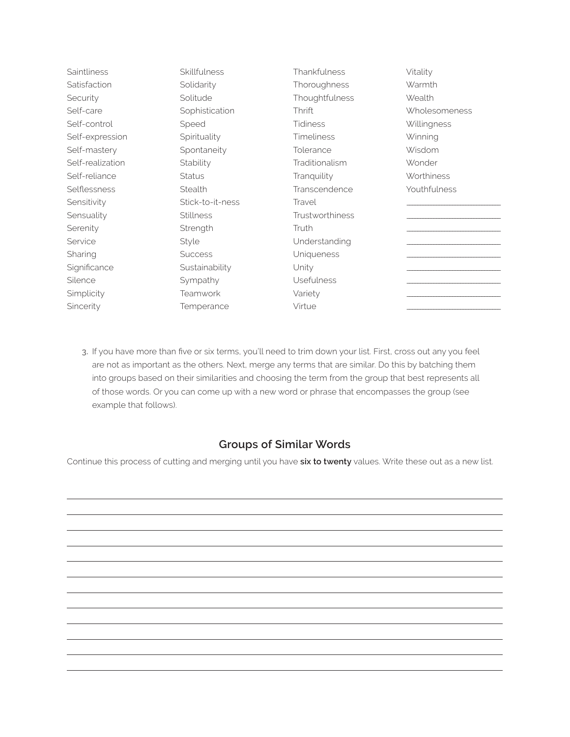| <b>Saintliness</b> | Skillfulness     | Thankfulness           | Vitality          |
|--------------------|------------------|------------------------|-------------------|
| Satisfaction       | Solidarity       | Thoroughness           | Warmth            |
| Security           | Solitude         | Thoughtfulness         | Wealth            |
| Self-care          | Sophistication   | Thrift                 | Wholesomeness     |
| Self-control       | Speed            | <b>Tidiness</b>        | Willingness       |
| Self-expression    | Spirituality     | <b>Timeliness</b>      | Winning           |
| Self-mastery       | Spontaneity      | Tolerance              | Wisdom            |
| Self-realization   | Stability        | Traditionalism         | Wonder            |
| Self-reliance      | <b>Status</b>    | Tranquility            | <b>Worthiness</b> |
| Selflessness       | Stealth          | Transcendence          | Youthfulness      |
| Sensitivity        | Stick-to-it-ness | Travel                 |                   |
| Sensuality         | <b>Stillness</b> | <b>Trustworthiness</b> |                   |
| Serenity           | Strength         | Truth                  |                   |
| Service            | Style            | Understanding          |                   |
| Sharing            | <b>Success</b>   | Uniqueness             |                   |
| Significance       | Sustainability   | Unity                  |                   |
| Silence            | Sympathy         | <b>Usefulness</b>      |                   |
| Simplicity         | Teamwork         | Variety                |                   |
| Sincerity          | Temperance       | Virtue                 |                   |

**3.** If you have more than five or six terms, you'll need to trim down your list. First, cross out any you feel are not as important as the others. Next, merge any terms that are similar. Do this by batching them into groups based on their similarities and choosing the term from the group that best represents all of those words. Or you can come up with a new word or phrase that encompasses the group (see example that follows).

# **Groups of Similar Words**

Continue this process of cutting and merging until you have **six to twenty** values. Write these out as a new list.